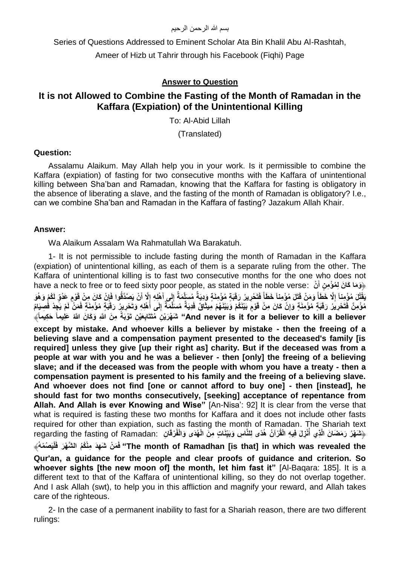#### بسم الله الرحمن الرحيم

Series of Questions Addressed to Eminent Scholar Ata Bin Khalil Abu Al-Rashtah,

Ameer of Hizb ut Tahrir through his Facebook (Fiqhi) Page

# **Answer to Question**

# **It is not Allowed to Combine the Fasting of the Month of Ramadan in the Kaffara (Expiation) of the Unintentional Killing**

To: Al-Abid Lillah

(Translated)

# **Question:**

Assalamu Alaikum. May Allah help you in your work. Is it permissible to combine the Kaffara (expiation) of fasting for two consecutive months with the Kaffara of unintentional killing between Sha'ban and Ramadan, knowing that the Kaffara for fasting is obligatory in the absence of liberating a slave, and the fasting of the month of Ramadan is obligatory? I.e., can we combine Sha'ban and Ramadan in the Kaffara of fasting? Jazakum Allah Khair.

# **Answer:**

Wa Alaikum Assalam Wa Rahmatullah Wa Barakatuh.

1- It is not permissible to include fasting during the month of Ramadan in the Kaffara (expiation) of unintentional killing, as each of them is a separate ruling from the other. The Kaffara of unintentional killing is to fast two consecutive months for the one who does not have a neck to free or to feed sixty poor people, as stated in the noble verse: **نْ** ﴿**َو َما َكا َن ِل ُم ْؤ ِم ن أ َ** يَقْتُلَ مُؤْمِناً إِلَّا خَطَأَ وَمَنْ قَتَلَ مُؤْمِناً خَطَأَ فَتَحْرِيرُ رَقَبَةٍ مُؤْمِنَةٍ وَدِيَةٌ مُسَلَّمَةٌ إِلَى أَهْلِهِ إِلَّا أَنْ يَصَدَّقُوا فَإِنْ كَانَ مِنْ قَوْمٍ عَدُوٍّ لَكُمْ وَهُوَ **ً ً َ** مُوْمِنٌ فَتَحْرِيرُ رَقَبَةٍ مُوْمِنَةٍ وَإِنْ كَانَ مِنْ قَوْمٍ بَيْنَكُمْ وَيَيْنَهُمْ مِيثَاقٌ فَدِيَةٌ مُسَلَّمَةٌ إِلَى أَهْلِهِ وَتَحْرِيرُ رَقَبَةٍ مُوْمِنَةٍ فَمَنْ لَمْ يَجِدْ فُصِيَامُ **ِ َ** And never is it for a believer to kill a believer" شُهْرَيْنِ مُتَتَابِعَيْنِ تَوْيَةً مِنَ اللَّهِ وَكَانَ اللَّهُ عَلِيماً خَكِيماً﴾ **ُ except by mistake. And whoever kills a believer by mistake - then the freeing of a believing slave and a compensation payment presented to the deceased's family [is required] unless they give [up their right as] charity. But if the deceased was from a people at war with you and he was a believer - then [only] the freeing of a believing slave; and if the deceased was from the people with whom you have a treaty - then a compensation payment is presented to his family and the freeing of a believing slave. And whoever does not find [one or cannot afford to buy one] - then [instead], he should fast for two months consecutively, [seeking] acceptance of repentance from Allah. And Allah is ever Knowing and Wise"** [An-Nisa': 92] It is clear from the verse that what is required is fasting these two months for Kaffara and it does not include other fasts required for other than expiation, such as fasting the month of Ramadan. The Shariah text رشَهْرُ رَمَضَانَ الَّذِي أُنْزِلَ فِيهِ الْقُرْآنُ هُدًى لِلنَّاسِ وَبَيِّنَاتٍ مِنَ الْهُدَى وَالْفُرْقَانِ . regarding the fasting of Ramadan: The month of Ramadhan [is that] in which was revealed the" فَمَنْ شَهِدَ مِنْكُمُ الشَّهْرَ فَلْيَصُمْهُ﴾ **Qur'an, a guidance for the people and clear proofs of guidance and criterion. So whoever sights [the new moon of] the month, let him fast it"** [Al-Baqara: 185]. It is a different text to that of the Kaffara of unintentional killing, so they do not overlap together. And I ask Allah (swt), to help you in this affliction and magnify your reward, and Allah takes care of the righteous.

2- In the case of a permanent inability to fast for a Shariah reason, there are two different rulings: